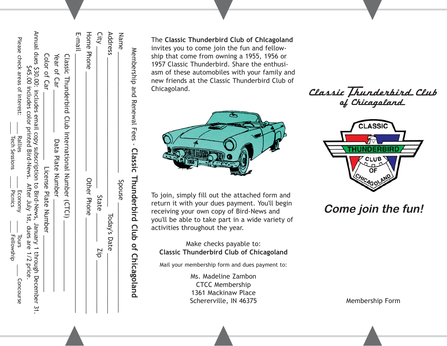| Membership and Renewal Fees - Classic Hhunderbird Club of Chicagoland                                                                                                                   |                                                        |
|-----------------------------------------------------------------------------------------------------------------------------------------------------------------------------------------|--------------------------------------------------------|
| Name                                                                                                                                                                                    | <b>Spouse</b>                                          |
| Address                                                                                                                                                                                 | Today's Date                                           |
| City                                                                                                                                                                                    | State<br>$-$ d <sub>17</sub>                           |
| <b>Home Phone</b>                                                                                                                                                                       | Other Phone                                            |
| E-mail                                                                                                                                                                                  |                                                        |
| CISSIC Thunderbird Club International Number (CTCI)                                                                                                                                     |                                                        |
| Year of Car<br>Data Plate Zumber                                                                                                                                                        |                                                        |
| Color of Car                                                                                                                                                                            | License Plate Number                                   |
| Annual dues \$30.00: includes enaber 31: Copy Subscription to Bird-News, January 1 through December 31:<br>\$45.00 includes color printed Bird-News. After July 1st, dues are 1/2 price |                                                        |
| Please check areas of interest:<br><b>Rallies</b><br>Tech Sessions                                                                                                                      | Economy<br>Picnics<br>Lours<br>Fellowship<br>Concourse |

The **Classic Thunderbird Club of Chlcagoland** invites you to come join the fun and fellowship that come from owning a 1955, 1956 or 1957 Classic Thunderbird. Share the enthusiasm of these automobiles with your family and new friends at the Classic Thunderbird Club of Chicagoland.



To join, simply fill out the attached form and return it with your dues payment. You'll begin receiving your own copy of Bird-News and you'll be able to take part in a wide variety of activities throughout the year.

Make checks payable to: **Classic Thunderbird Club of Chicagoland**

Mail your membership form and dues payment to:

Ms. Madeline Zambon CTCC Membership 1361 Mackinaw Place Schererville, IN 46375

Classic Thunderbird Club<br>of Chicagoland



## **Come join the fun!**

Membership Form